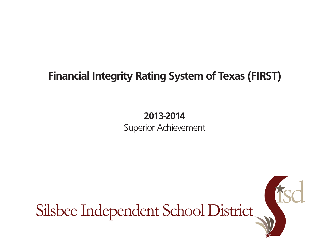## **Financial Integrity Rating System of Texas (FIRST)**

# **2013-2014**

Superior Achievement

Silsbee Independent School District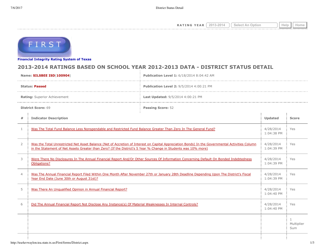**RATING YEAR**  $\boxed{2013-2014}$   $\boxed{\text{Select An Option}}$  Help  $\boxed{\text{Help}}$ 



**[Financial Integrity Rating Syste](http://tea4avwaylon.tea.state.tx.us/First/forms/main.aspx)m of Texas**

## **2013-2014 RATINGS BASED ON SCHOOL YEAR 2012-2013 DATA - DISTRICT STATUS DETAIL**

| Name: SILSBEE ISD(100904)    |                                                                                                                                                                                                                                                                   | Publication Level 1: 6/18/2014 8:04:42 AM |  |                                   |  |
|------------------------------|-------------------------------------------------------------------------------------------------------------------------------------------------------------------------------------------------------------------------------------------------------------------|-------------------------------------------|--|-----------------------------------|--|
| <b>Status: Passed</b>        |                                                                                                                                                                                                                                                                   | Publication Level 2: 9/5/2014 4:00:21 PM  |  |                                   |  |
| Rating: Superior Achievement |                                                                                                                                                                                                                                                                   | Last Updated: 9/5/2014 4:00:21 PM         |  |                                   |  |
| <b>District Score: 69</b>    |                                                                                                                                                                                                                                                                   | <b>Passing Score: 52</b>                  |  |                                   |  |
| $\#$                         | <b>Indicator Description</b>                                                                                                                                                                                                                                      |                                           |  | <b>Score</b>                      |  |
| $\mathbf{1}$                 | Was The Total Fund Balance Less Nonspendable and Restricted Fund Balance Greater Than Zero In The General Fund?                                                                                                                                                   |                                           |  | Yes                               |  |
| $\overline{2}$               | Was the Total Unrestricted Net Asset Balance (Net of Accretion of Interest on Capital Appreciation Bonds) In the Governmental Activities Column<br>in the Statement of Net Assets Greater than Zero? (If the District's 5 Year % Change in Students was 10% more) |                                           |  | Yes                               |  |
| 3                            | Were There No Disclosures In The Annual Financial Report And/Or Other Sources Of Information Concerning Default On Bonded Indebtedness<br>Obligations?                                                                                                            |                                           |  | Yes                               |  |
| $\overline{4}$               | Was The Annual Financial Report Filed Within One Month After November 27th or January 28th Deadline Depending Upon The District's Fiscal<br>Year End Date (June 30th or August 31st)?                                                                             |                                           |  | Yes                               |  |
| 5                            | Was There An Unqualified Opinion in Annual Financial Report?                                                                                                                                                                                                      |                                           |  | Yes                               |  |
| 6                            | Did The Annual Financial Report Not Disclose Any Instance(s) Of Material Weaknesses In Internal Controls?                                                                                                                                                         |                                           |  | Yes                               |  |
|                              |                                                                                                                                                                                                                                                                   |                                           |  | $\mathbf{1}$<br>Multiplier<br>Sum |  |
|                              |                                                                                                                                                                                                                                                                   |                                           |  |                                   |  |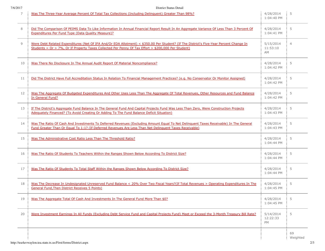| 7  | Was The Three-Year Average Percent Of Total Tax Collections (Including Delinguent) Greater Than 98%?                                                                                                                                               | 4/28/2014<br>1:04:40 PM     | 5              |
|----|----------------------------------------------------------------------------------------------------------------------------------------------------------------------------------------------------------------------------------------------------|-----------------------------|----------------|
| 8  | Did The Comparison Of PEIMS Data To Like Information In Annual Financial Report Result In An Aggregate Variance Of Less Than 3 Percent Of<br><b>Expenditures Per Fund Type (Data Quality Measure)?</b>                                             |                             | 5              |
| 9  | Were Debt Related Expenditures (Net Of IFA And/Or EDA Allotment) < \$350.00 Per Student? (If The District's Five-Year Percent Change In<br>Students = $Or > 7\%$ , Or If Property Taxes Collected Per Penny Of Tax Effort > \$200,000 Per Student) |                             | $\overline{4}$ |
| 10 | Was There No Disclosure In The Annual Audit Report Of Material Noncompliance?                                                                                                                                                                      |                             | 5              |
| 11 | Did The District Have Full Accreditation Status In Relation To Financial Management Practices? (e.g. No Conservator Or Monitor Assigned)                                                                                                           |                             | 5              |
| 12 | Was The Aggregate Of Budgeted Expenditures And Other Uses Less Than The Aggregate Of Total Revenues, Other Resources and Fund Balance<br>In General Fund?                                                                                          | 4/28/2014<br>1:04:42 PM     | 5              |
| 13 | If The District's Aggregate Fund Balance In The General Fund And Capital Projects Fund Was Less Than Zero, Were Construction Projects<br>Adequately Financed? (To Avoid Creating Or Adding To The Fund Balance Deficit Situation)                  | 4/28/2014<br>1:04:43 PM     | 5              |
| 14 | Was The Ratio Of Cash And Investments To Deferred Revenues (Excluding Amount Equal To Net Delinguent Taxes Receivable) In The General<br>Fund Greater Than Or Equal To 1:1? (If Deferred Revenues Are Less Than Net Delinquent Taxes Receivable)   |                             | 5              |
| 15 | Was The Administrative Cost Ratio Less Than The Threshold Ratio?                                                                                                                                                                                   | 4/28/2014<br>1:04:44 PM     | 5              |
| 16 | Was The Ratio Of Students To Teachers Within the Ranges Shown Below According To District Size?                                                                                                                                                    | 4/28/2014<br>1:04:44 PM     | 5              |
| 17 | Was The Ratio Of Students To Total Staff Within the Ranges Shown Below According To District Size?                                                                                                                                                 | 4/28/2014<br>1:04:44 PM     | 5              |
| 18 | Was The Decrease In Undesignated Unreserved Fund Balance < 20% Over Two Fiscal Years?(If Total Revenues > Operating Expenditures In The<br>General Fund, Then District Receives 5 Points)                                                          | 4/28/2014<br>1:04:45 PM     | 5              |
| 19 | Was The Aggregate Total Of Cash And Investments In The General Fund More Than \$0?                                                                                                                                                                 | 4/28/2014<br>1:04:45 PM     | 5              |
| 20 | Were Investment Earnings In All Funds (Excluding Debt Service Fund and Capital Projects Fund) Meet or Exceed the 3-Month Treasury Bill Rate?                                                                                                       | 5/14/2014<br>12:22:33<br>PM | 5              |
|    |                                                                                                                                                                                                                                                    |                             | 69<br>Weighted |